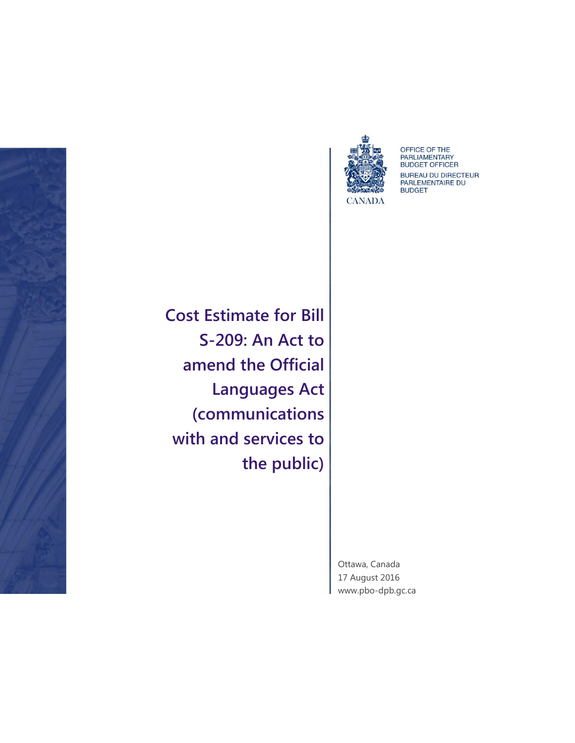



OFFICE OF THE<br>PARLIAMENTARY<br>BUDGET OFFICER BUREAU DU DIRECTEUR<br>PARLEMENTAIRE DU **BUDGET** 

**Cost Estimate for Bill S-209: An Act to amend the Official Languages Act (communications with and services to the public)**

> Ottawa, Canada 17 August 2016 [www.pbo-dpb.gc.ca](http://www.pbo-dpb.gc.ca/)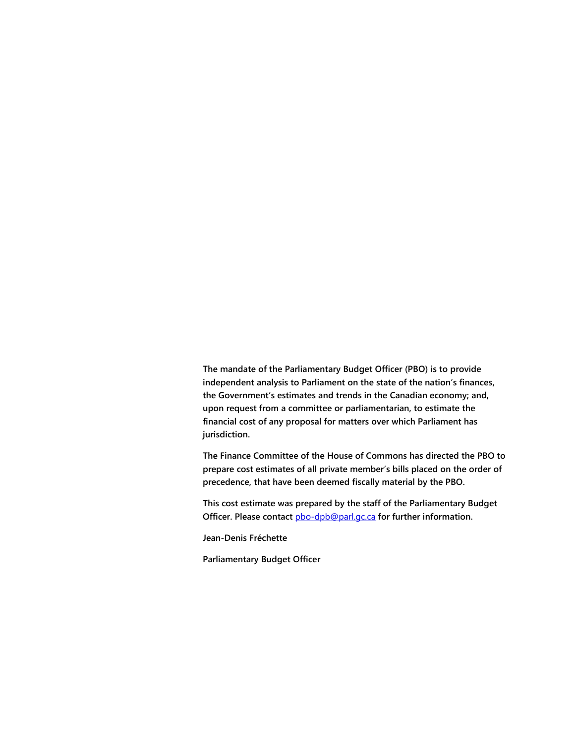**The mandate of the Parliamentary Budget Officer (PBO) is to provide independent analysis to Parliament on the state of the nation's finances, the Government's estimates and trends in the Canadian economy; and, upon request from a committee or parliamentarian, to estimate the financial cost of any proposal for matters over which Parliament has jurisdiction.**

**The Finance Committee of the House of Commons has directed the PBO to prepare cost estimates of all private member's bills placed on the order of precedence, that have been deemed fiscally material by the PBO.** 

**This cost estimate was prepared by the staff of the Parliamentary Budget Officer. Please contact** [pbo-dpb@parl.gc.ca](mailto:pbo-dpb@parl.gc.ca) **for further information.**

**Jean-Denis Fréchette**

**Parliamentary Budget Officer**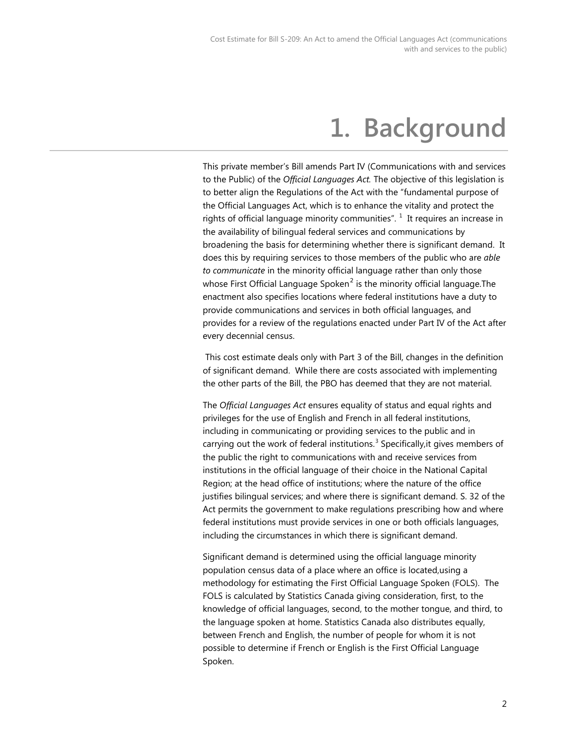# **1. Background**

This private member's Bill amends Part IV (Communications with and services to the Public) of the *Official Languages Act.* The objective of this legislation is to better align the Regulations of the Act with the "fundamental purpose of the Official Languages Act, which is to enhance the vitality and protect the rights of official language minority communities".  $^1$  $^1$  It requires an increase in the availability of bilingual federal services and communications by broadening the basis for determining whether there is significant demand. It does this by requiring services to those members of the public who are *able to communicate* in the minority official language rather than only those whose First Official Language Spoken $^2$  $^2$  is the minority official language. The enactment also specifies locations where federal institutions have a duty to provide communications and services in both official languages, and provides for a review of the regulations enacted under Part IV of the Act after every decennial census.

This cost estimate deals only with Part 3 of the Bill, changes in the definition of significant demand. While there are costs associated with implementing the other parts of the Bill, the PBO has deemed that they are not material.

The *Official Languages Act* ensures equality of status and equal rights and privileges for the use of English and French in all federal institutions, including in communicating or providing services to the public and in carrying out the work of federal institutions.<sup>[3](#page-8-2)</sup> Specifically, it gives members of the public the right to communications with and receive services from institutions in the official language of their choice in the National Capital Region; at the head office of institutions; where the nature of the office justifies bilingual services; and where there is significant demand. S. 32 of the Act permits the government to make regulations prescribing how and where federal institutions must provide services in one or both officials languages, including the circumstances in which there is significant demand.

Significant demand is determined using the official language minority population census data of a place where an office is located,using a methodology for estimating the First Official Language Spoken (FOLS). The FOLS is calculated by Statistics Canada giving consideration, first, to the knowledge of official languages, second, to the mother tongue, and third, to the language spoken at home. Statistics Canada also distributes equally, between French and English, the number of people for whom it is not possible to determine if French or English is the First Official Language Spoken.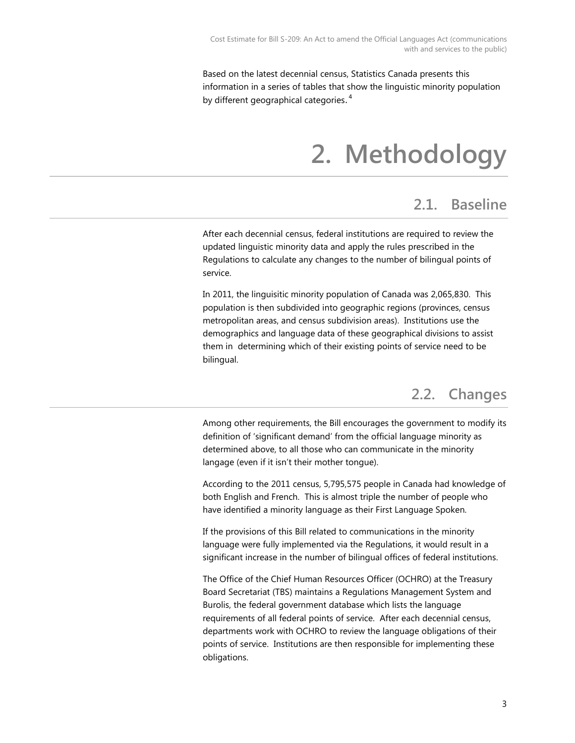Based on the latest decennial census, Statistics Canada presents this information in a series of tables that show the linguistic minority population by different geographical categories.<sup>[4](#page-8-3)</sup>

# **2. Methodology**

#### **2.1. Baseline**

After each decennial census, federal institutions are required to review the updated linguistic minority data and apply the rules prescribed in the Regulations to calculate any changes to the number of bilingual points of service.

In 2011, the linguisitic minority population of Canada was 2,065,830. This population is then subdivided into geographic regions (provinces, census metropolitan areas, and census subdivision areas). Institutions use the demographics and language data of these geographical divisions to assist them in determining which of their existing points of service need to be bilingual.

### **2.2. Changes**

Among other requirements, the Bill encourages the government to modify its definition of 'significant demand' from the official language minority as determined above, to all those who can communicate in the minority langage (even if it isn't their mother tongue).

According to the 2011 census, 5,795,575 people in Canada had knowledge of both English and French. This is almost triple the number of people who have identified a minority language as their First Language Spoken.

If the provisions of this Bill related to communications in the minority language were fully implemented via the Regulations, it would result in a significant increase in the number of bilingual offices of federal institutions.

The Office of the Chief Human Resources Officer (OCHRO) at the Treasury Board Secretariat (TBS) maintains a Regulations Management System and Burolis, the federal government database which lists the language requirements of all federal points of service. After each decennial census, departments work with OCHRO to review the language obligations of their points of service. Institutions are then responsible for implementing these obligations.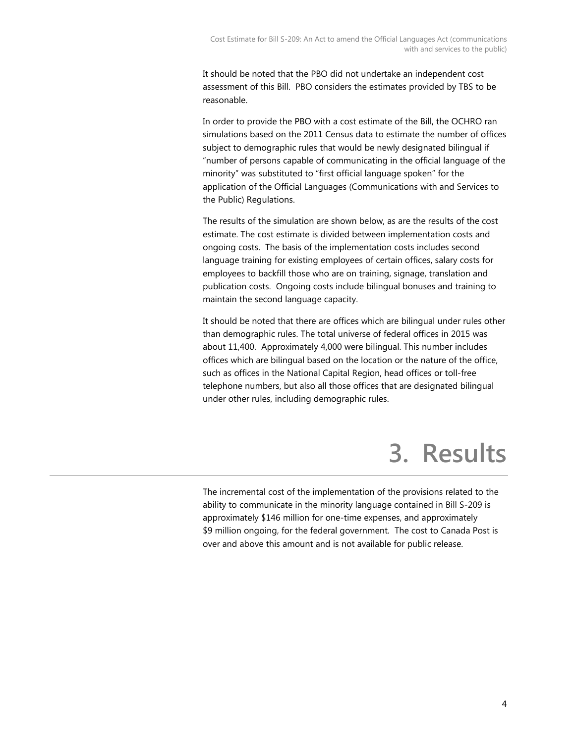It should be noted that the PBO did not undertake an independent cost assessment of this Bill. PBO considers the estimates provided by TBS to be reasonable.

In order to provide the PBO with a cost estimate of the Bill, the OCHRO ran simulations based on the 2011 Census data to estimate the number of offices subject to demographic rules that would be newly designated bilingual if "number of persons capable of communicating in the official language of the minority" was substituted to "first official language spoken" for the application of the Official Languages (Communications with and Services to the Public) Regulations.

The results of the simulation are shown below, as are the results of the cost estimate. The cost estimate is divided between implementation costs and ongoing costs. The basis of the implementation costs includes second language training for existing employees of certain offices, salary costs for employees to backfill those who are on training, signage, translation and publication costs. Ongoing costs include bilingual bonuses and training to maintain the second language capacity.

It should be noted that there are offices which are bilingual under rules other than demographic rules. The total universe of federal offices in 2015 was about 11,400. Approximately 4,000 were bilingual. This number includes offices which are bilingual based on the location or the nature of the office, such as offices in the National Capital Region, head offices or toll-free telephone numbers, but also all those offices that are designated bilingual under other rules, including demographic rules.

# **3. Results**

The incremental cost of the implementation of the provisions related to the ability to communicate in the minority language contained in Bill S-209 is approximately \$146 million for one-time expenses, and approximately \$9 million ongoing, for the federal government. The cost to Canada Post is over and above this amount and is not available for public release.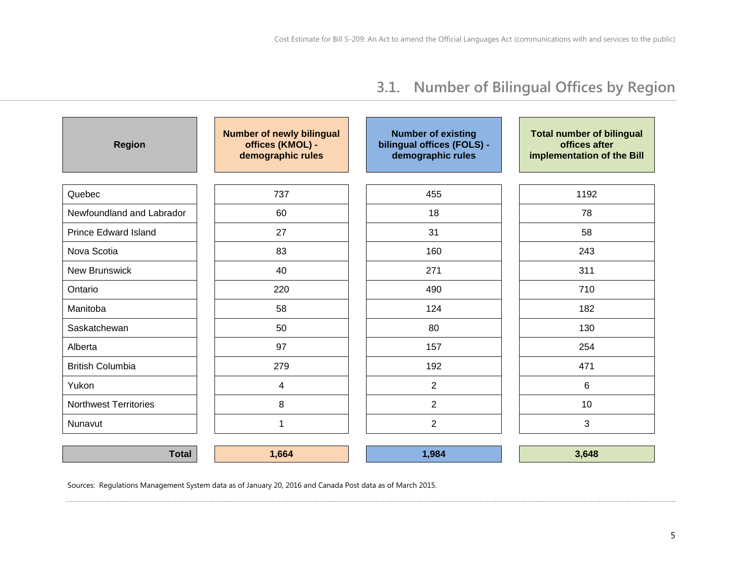### **3.1. Number of Bilingual Offices by Region**

| <b>Region</b>                | <b>Number of newly bilingual</b><br>offices (KMOL) -<br>demographic rules | <b>Number of existing</b><br>bilingual offices (FOLS) -<br>demographic rules | <b>Total number of bilingual</b><br>offices after<br>implementation of the Bill |  |
|------------------------------|---------------------------------------------------------------------------|------------------------------------------------------------------------------|---------------------------------------------------------------------------------|--|
| Quebec                       | 737                                                                       | 455                                                                          | 1192                                                                            |  |
| Newfoundland and Labrador    | 60                                                                        | 18                                                                           | 78                                                                              |  |
| <b>Prince Edward Island</b>  | 27                                                                        | 31                                                                           | 58                                                                              |  |
| Nova Scotia                  | 83                                                                        | 160                                                                          | 243                                                                             |  |
| <b>New Brunswick</b>         | 40                                                                        | 271                                                                          | 311                                                                             |  |
| Ontario                      | 220                                                                       | 490                                                                          | 710                                                                             |  |
| Manitoba                     | 58                                                                        | 124                                                                          | 182                                                                             |  |
| Saskatchewan                 | 50                                                                        | 80                                                                           | 130                                                                             |  |
| Alberta                      | 97                                                                        | 157                                                                          | 254                                                                             |  |
| <b>British Columbia</b>      | 279                                                                       | 192                                                                          | 471                                                                             |  |
| Yukon                        | $\overline{4}$                                                            | $\overline{2}$                                                               | 6                                                                               |  |
| <b>Northwest Territories</b> | 8                                                                         | $\overline{2}$                                                               | 10                                                                              |  |
| Nunavut                      | 1                                                                         | $\overline{2}$                                                               | 3                                                                               |  |

**Total 1,664 1,984 3,648**

Sources: Regulations Management System data as of January 20, 2016 and Canada Post data as of March 2015.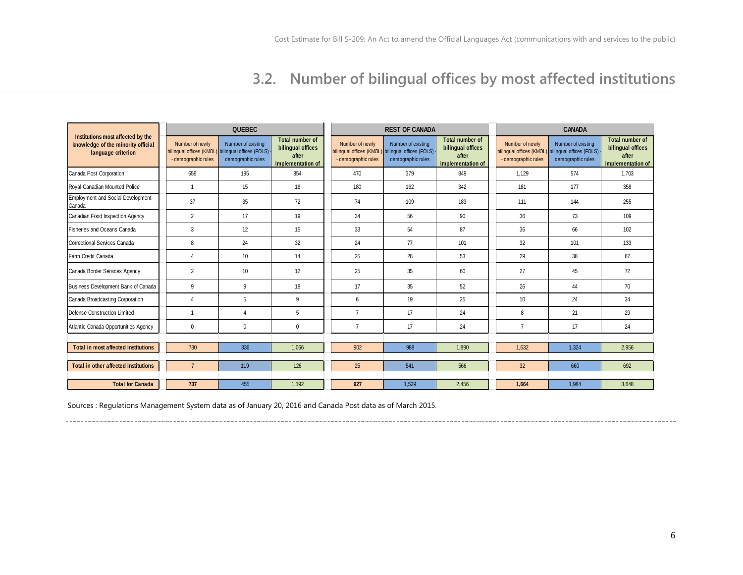### **3.2. Number of bilingual offices by most affected institutions**

|                                                                                               | <b>QUEBEC</b>                          |                                                                                              |                                                                    | <b>REST OF CANADA</b>                                             |                                                                     |                                                                    | <b>CANADA</b>                                                      |                                                                     |                                                                           |
|-----------------------------------------------------------------------------------------------|----------------------------------------|----------------------------------------------------------------------------------------------|--------------------------------------------------------------------|-------------------------------------------------------------------|---------------------------------------------------------------------|--------------------------------------------------------------------|--------------------------------------------------------------------|---------------------------------------------------------------------|---------------------------------------------------------------------------|
| Institutions most affected by the<br>knowledge of the minority official<br>language criterion | Number of newly<br>- demographic rules | Number of existing<br>bilingual offices (KMOL) bilingual offices (FOLS)<br>demographic rules | Total number of<br>bilingual offices<br>after<br>implementation of | Number of newly<br>bilingual offices (KMOL<br>- demographic rules | Number of existing<br>bilingual offices (FOLS)<br>demographic rules | Total number of<br>bilingual offices<br>after<br>implementation of | Number of newly<br>bilingual offices (KMOL)<br>- demographic rules | Number of existing<br>bilingual offices (FOLS)<br>demographic rules | <b>Total number of</b><br>bilingual offices<br>after<br>implementation of |
| Canada Post Corporation                                                                       | 659                                    | 195                                                                                          | 854                                                                | 470                                                               | 379                                                                 | 849                                                                | 1.129                                                              | 574                                                                 | 1.703                                                                     |
| Royal Canadian Mounted Police                                                                 | 1                                      | 15                                                                                           | 16                                                                 | 180                                                               | 162                                                                 | 342                                                                | 181                                                                | 177                                                                 | 358                                                                       |
| Employment and Social Development<br>Canada                                                   | 37                                     | 35                                                                                           | 72                                                                 | 74                                                                | 109                                                                 | 183                                                                | 111                                                                | 144                                                                 | 255                                                                       |
| Canadian Food Inspection Agency                                                               | $\overline{2}$                         | 17                                                                                           | 19                                                                 | 34                                                                | 56                                                                  | 90                                                                 | 36                                                                 | 73                                                                  | 109                                                                       |
| <b>Fisheries and Oceans Canada</b>                                                            | 3                                      | 12                                                                                           | 15                                                                 | 33                                                                | 54                                                                  | 87                                                                 | 36                                                                 | 66                                                                  | 102                                                                       |
| Correctional Services Canada                                                                  | 8                                      | 24                                                                                           | 32                                                                 | 24                                                                | 77                                                                  | 101                                                                | 32                                                                 | 101                                                                 | 133                                                                       |
| Farm Credit Canada                                                                            | Δ                                      | 10                                                                                           | 14                                                                 | 25                                                                | 28                                                                  | 53                                                                 | 29                                                                 | 38                                                                  | 67                                                                        |
| Canada Border Services Agency                                                                 | $\overline{2}$                         | 10                                                                                           | 12                                                                 | 25                                                                | 35                                                                  | 60                                                                 | 27                                                                 | 45                                                                  | 72                                                                        |
| Business Development Bank of Canada                                                           | 9                                      | 9                                                                                            | 18                                                                 | 17                                                                | 35                                                                  | 52                                                                 | 26                                                                 | 44                                                                  | 70                                                                        |
| Canada Broadcasting Corporation                                                               | Δ                                      | 5                                                                                            | 9                                                                  | 6                                                                 | 19                                                                  | 25                                                                 | 10                                                                 | 24                                                                  | 34                                                                        |
| Defense Construction Limited                                                                  |                                        | $\overline{4}$                                                                               | 5                                                                  | $\overline{7}$                                                    | 17                                                                  | 24                                                                 | 8                                                                  | 21                                                                  | 29                                                                        |
| Atlantic Canada Opportunities Agency                                                          | 0                                      | $\mathbf 0$                                                                                  | $\mathbf{0}$                                                       | $\overline{7}$                                                    | 17                                                                  | 24                                                                 | $\overline{7}$                                                     | 17                                                                  | 24                                                                        |
| <b>Total in most affected institutions</b>                                                    | 730                                    | 336                                                                                          | 1.066                                                              | 902                                                               | 988                                                                 | 1.890                                                              | 1.632                                                              | 1.324                                                               |                                                                           |
|                                                                                               |                                        |                                                                                              |                                                                    |                                                                   |                                                                     |                                                                    |                                                                    |                                                                     | 2,956                                                                     |
| Total in other affected institutions                                                          | $\overline{7}$                         | 119                                                                                          | 126                                                                | 25                                                                | 541                                                                 | 566                                                                | 32 <sup>2</sup>                                                    | 660                                                                 | 692                                                                       |
| <b>Total for Canada</b>                                                                       | 737                                    | 455                                                                                          | 1.192                                                              | 927                                                               | 1,529                                                               | 2.456                                                              | 1.664                                                              | 1,984                                                               | 3,648                                                                     |

Sources : Regulations Management System data as of January 20, 2016 and Canada Post data as of March 2015.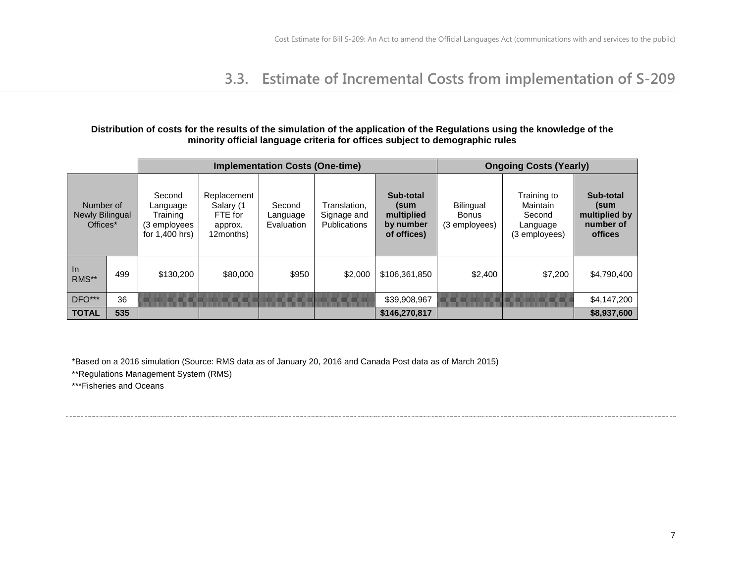### **3.3. Estimate of Incremental Costs from implementation of S-209**

#### **Distribution of costs for the results of the simulation of the application of the Regulations using the knowledge of the minority official language criteria for offices subject to demographic rules**

|                                          |     | <b>Implementation Costs (One-time)</b>                           |                                                             |                                  |                                                    |                                                             | <b>Ongoing Costs (Yearly)</b>              |                                                                |                                                            |
|------------------------------------------|-----|------------------------------------------------------------------|-------------------------------------------------------------|----------------------------------|----------------------------------------------------|-------------------------------------------------------------|--------------------------------------------|----------------------------------------------------------------|------------------------------------------------------------|
| Number of<br>Newly Bilingual<br>Offices* |     | Second<br>Language<br>Training<br>(3 employees<br>for 1,400 hrs) | Replacement<br>Salary (1<br>FTE for<br>approx.<br>12months) | Second<br>Language<br>Evaluation | Translation,<br>Signage and<br><b>Publications</b> | Sub-total<br>(sum<br>multiplied<br>by number<br>of offices) | Bilingual<br><b>Bonus</b><br>(3 employees) | Training to<br>Maintain<br>Second<br>Language<br>(3 employees) | Sub-total<br>(sum<br>multiplied by<br>number of<br>offices |
| $\ln$<br>RMS**                           | 499 | \$130,200                                                        | \$80,000                                                    | \$950                            | \$2,000                                            | \$106,361,850                                               | \$2,400                                    | \$7,200                                                        | \$4,790,400                                                |
| $DFO***$                                 | 36  |                                                                  |                                                             |                                  |                                                    | \$39,908,967                                                |                                            |                                                                | \$4,147,200                                                |
| <b>TOTAL</b>                             | 535 |                                                                  |                                                             |                                  |                                                    | \$146,270,817                                               |                                            |                                                                | \$8,937,600                                                |

\*Based on a 2016 simulation (Source: RMS data as of January 20, 2016 and Canada Post data as of March 2015)

\*\*Regulations Management System (RMS)

\*\*\*Fisheries and Oceans